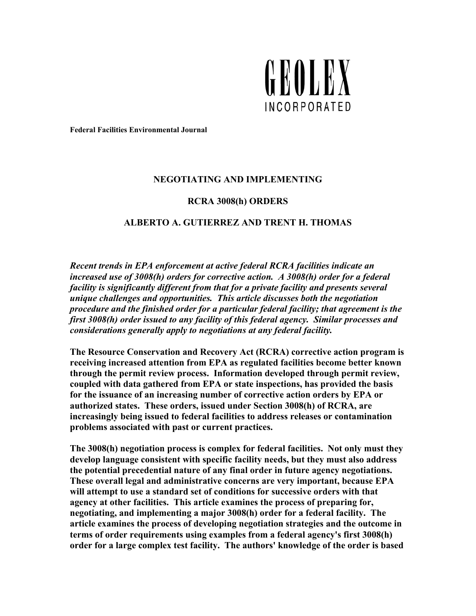

**Federal Facilities Environmental Journal** 

## **NEGOTIATING AND IMPLEMENTING**

#### **RCRA 3008(h) ORDERS**

### **ALBERTO A. GUTIERREZ AND TRENT H. THOMAS**

*Recent trends in EPA enforcement at active federal RCRA facilities indicate an increased use of 3008(h) orders for corrective action. A 3008(h) order for a federal facility is significantly different from that for a private facility and presents several unique challenges and opportunities. This article discusses both the negotiation procedure and the finished order for a particular federal facility; that agreement is the first 3008(h) order issued to any facility of this federal agency. Similar processes and considerations generally apply to negotiations at any federal facility.*

**The Resource Conservation and Recovery Act (RCRA) corrective action program is receiving increased attention from EPA as regulated facilities become better known through the permit review process. Information developed through permit review, coupled with data gathered from EPA or state inspections, has provided the basis for the issuance of an increasing number of corrective action orders by EPA or authorized states. These orders, issued under Section 3008(h) of RCRA, are increasingly being issued to federal facilities to address releases or contamination problems associated with past or current practices.** 

**The 3008(h) negotiation process is complex for federal facilities. Not only must they develop language consistent with specific facility needs, but they must also address the potential precedential nature of any final order in future agency negotiations. These overall legal and administrative concerns are very important, because EPA will attempt to use a standard set of conditions for successive orders with that agency at other facilities. This article examines the process of preparing for, negotiating, and implementing a major 3008(h) order for a federal facility. The article examines the process of developing negotiation strategies and the outcome in terms of order requirements using examples from a federal agency's first 3008(h) order for a large complex test facility. The authors' knowledge of the order is based**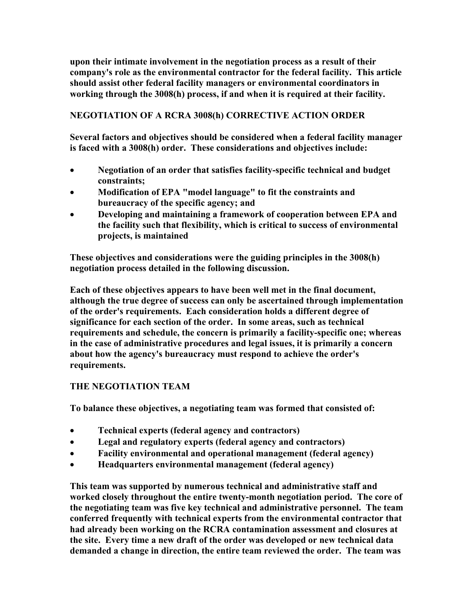**upon their intimate involvement in the negotiation process as a result of their company's role as the environmental contractor for the federal facility. This article should assist other federal facility managers or environmental coordinators in working through the 3008(h) process, if and when it is required at their facility.** 

## **NEGOTIATION OF A RCRA 3008(h) CORRECTIVE ACTION ORDER**

**Several factors and objectives should be considered when a federal facility manager is faced with a 3008(h) order. These considerations and objectives include:** 

- **Negotiation of an order that satisfies facility-specific technical and budget constraints;**
- **Modification of EPA "model language" to fit the constraints and bureaucracy of the specific agency; and**
- **Developing and maintaining a framework of cooperation between EPA and the facility such that flexibility, which is critical to success of environmental projects, is maintained**

**These objectives and considerations were the guiding principles in the 3008(h) negotiation process detailed in the following discussion.** 

**Each of these objectives appears to have been well met in the final document, although the true degree of success can only be ascertained through implementation of the order's requirements. Each consideration holds a different degree of significance for each section of the order. In some areas, such as technical requirements and schedule, the concern is primarily a facility-specific one; whereas in the case of administrative procedures and legal issues, it is primarily a concern about how the agency's bureaucracy must respond to achieve the order's requirements.** 

## **THE NEGOTIATION TEAM**

**To balance these objectives, a negotiating team was formed that consisted of:** 

- **Technical experts (federal agency and contractors)**
- **Legal and regulatory experts (federal agency and contractors)**
- **Facility environmental and operational management (federal agency)**
- **Headquarters environmental management (federal agency)**

**This team was supported by numerous technical and administrative staff and worked closely throughout the entire twenty-month negotiation period. The core of the negotiating team was five key technical and administrative personnel. The team conferred frequently with technical experts from the environmental contractor that had already been working on the RCRA contamination assessment and closures at the site. Every time a new draft of the order was developed or new technical data demanded a change in direction, the entire team reviewed the order. The team was**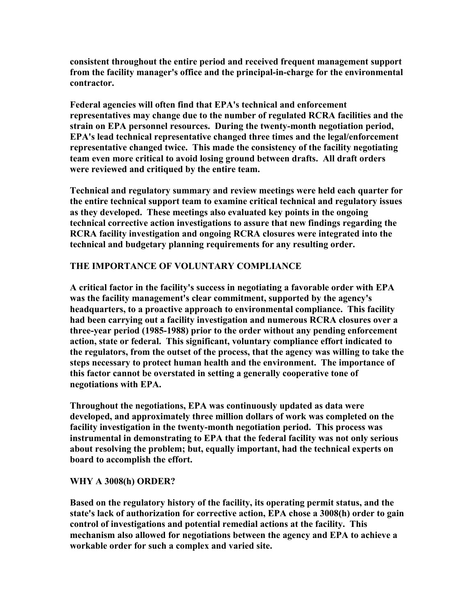**consistent throughout the entire period and received frequent management support from the facility manager's office and the principal-in-charge for the environmental contractor.** 

**Federal agencies will often find that EPA's technical and enforcement representatives may change due to the number of regulated RCRA facilities and the strain on EPA personnel resources. During the twenty-month negotiation period, EPA's lead technical representative changed three times and the legal/enforcement representative changed twice. This made the consistency of the facility negotiating team even more critical to avoid losing ground between drafts. All draft orders were reviewed and critiqued by the entire team.** 

**Technical and regulatory summary and review meetings were held each quarter for the entire technical support team to examine critical technical and regulatory issues as they developed. These meetings also evaluated key points in the ongoing technical corrective action investigations to assure that new findings regarding the RCRA facility investigation and ongoing RCRA closures were integrated into the technical and budgetary planning requirements for any resulting order.** 

## **THE IMPORTANCE OF VOLUNTARY COMPLIANCE**

**A critical factor in the facility's success in negotiating a favorable order with EPA was the facility management's clear commitment, supported by the agency's headquarters, to a proactive approach to environmental compliance. This facility had been carrying out a facility investigation and numerous RCRA closures over a three-year period (1985-1988) prior to the order without any pending enforcement action, state or federal. This significant, voluntary compliance effort indicated to the regulators, from the outset of the process, that the agency was willing to take the steps necessary to protect human health and the environment. The importance of this factor cannot be overstated in setting a generally cooperative tone of negotiations with EPA.** 

**Throughout the negotiations, EPA was continuously updated as data were developed, and approximately three million dollars of work was completed on the facility investigation in the twenty-month negotiation period. This process was instrumental in demonstrating to EPA that the federal facility was not only serious about resolving the problem; but, equally important, had the technical experts on board to accomplish the effort.** 

### **WHY A 3008(h) ORDER?**

**Based on the regulatory history of the facility, its operating permit status, and the state's lack of authorization for corrective action, EPA chose a 3008(h) order to gain control of investigations and potential remedial actions at the facility. This mechanism also allowed for negotiations between the agency and EPA to achieve a workable order for such a complex and varied site.**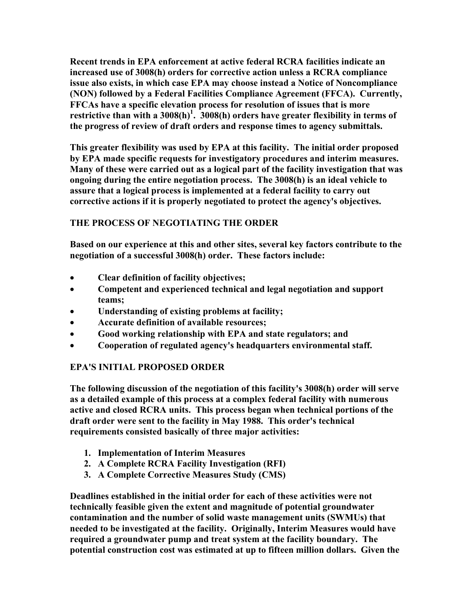**Recent trends in EPA enforcement at active federal RCRA facilities indicate an increased use of 3008(h) orders for corrective action unless a RCRA compliance issue also exists, in which case EPA may choose instead a Notice of Noncompliance (NON) followed by a Federal Facilities Compliance Agreement (FFCA). Currently, FFCAs have a specific elevation process for resolution of issues that is more**  restrictive than with a  $3008(h)^1$ .  $3008(h)$  orders have greater flexibility in terms of **the progress of review of draft orders and response times to agency submittals.** 

**This greater flexibility was used by EPA at this facility. The initial order proposed by EPA made specific requests for investigatory procedures and interim measures. Many of these were carried out as a logical part of the facility investigation that was ongoing during the entire negotiation process. The 3008(h) is an ideal vehicle to assure that a logical process is implemented at a federal facility to carry out corrective actions if it is properly negotiated to protect the agency's objectives.** 

# **THE PROCESS OF NEGOTIATING THE ORDER**

**Based on our experience at this and other sites, several key factors contribute to the negotiation of a successful 3008(h) order. These factors include:** 

- **Clear definition of facility objectives;**
- **Competent and experienced technical and legal negotiation and support teams;**
- **Understanding of existing problems at facility;**
- **Accurate definition of available resources;**
- **Good working relationship with EPA and state regulators; and**
- **Cooperation of regulated agency's headquarters environmental staff.**

## **EPA'S INITIAL PROPOSED ORDER**

**The following discussion of the negotiation of this facility's 3008(h) order will serve as a detailed example of this process at a complex federal facility with numerous active and closed RCRA units. This process began when technical portions of the draft order were sent to the facility in May 1988. This order's technical requirements consisted basically of three major activities:** 

- **1. Implementation of Interim Measures**
- **2. A Complete RCRA Facility Investigation (RFI)**
- **3. A Complete Corrective Measures Study (CMS)**

**Deadlines established in the initial order for each of these activities were not technically feasible given the extent and magnitude of potential groundwater contamination and the number of solid waste management units (SWMUs) that needed to be investigated at the facility. Originally, Interim Measures would have required a groundwater pump and treat system at the facility boundary. The potential construction cost was estimated at up to fifteen million dollars. Given the**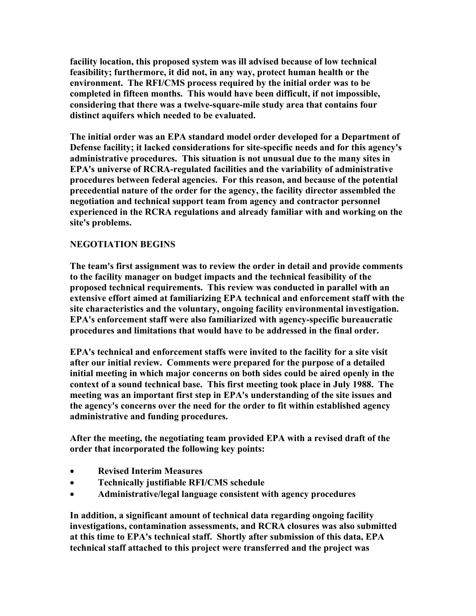**facility location, this proposed system was ill advised because of low technical feasibility; furthermore, it did not, in any way, protect human health or the environment. The RFI/CMS process required by the initial order was to be completed in fifteen months. This would have been difficult, if not impossible, considering that there was a twelve-square-mile study area that contains four distinct aquifers which needed to be evaluated.** 

**The initial order was an EPA standard model order developed for a Department of Defense facility; it lacked considerations for site-specific needs and for this agency's administrative procedures. This situation is not unusual due to the many sites in EPA's universe of RCRA-regulated facilities and the variability of administrative procedures between federal agencies. For this reason, and because of the potential precedential nature of the order for the agency, the facility director assembled the negotiation and technical support team from agency and contractor personnel experienced in the RCRA regulations and already familiar with and working on the site's problems.** 

## **NEGOTIATION BEGINS**

**The team's first assignment was to review the order in detail and provide comments to the facility manager on budget impacts and the technical feasibility of the proposed technical requirements. This review was conducted in parallel with an extensive effort aimed at familiarizing EPA technical and enforcement staff with the site characteristics and the voluntary, ongoing facility environmental investigation. EPA's enforcement staff were also familiarized with agency-specific bureaucratic procedures and limitations that would have to be addressed in the final order.** 

**EPA's technical and enforcement staffs were invited to the facility for a site visit after our initial review. Comments were prepared for the purpose of a detailed initial meeting in which major concerns on both sides could be aired openly in the context of a sound technical base. This first meeting took place in July 1988. The meeting was an important first step in EPA's understanding of the site issues and the agency's concerns over the need for the order to fit within established agency administrative and funding procedures.** 

**After the meeting, the negotiating team provided EPA with a revised draft of the order that incorporated the following key points:** 

- **Revised Interim Measures**
- **Technically justifiable RFI/CMS schedule**
- **Administrative/legal language consistent with agency procedures**

**In addition, a significant amount of technical data regarding ongoing facility investigations, contamination assessments, and RCRA closures was also submitted at this time to EPA's technical staff. Shortly after submission of this data, EPA technical staff attached to this project were transferred and the project was**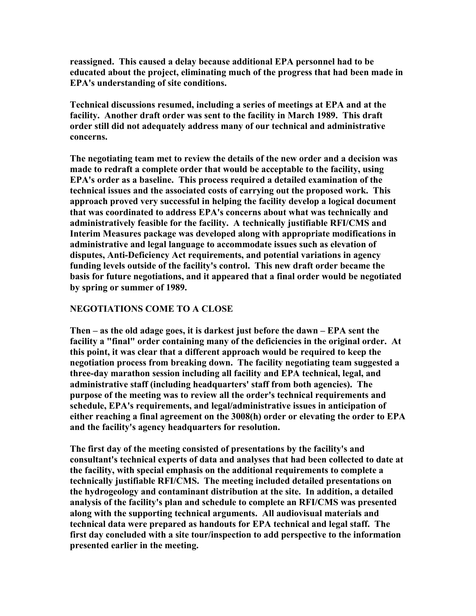**reassigned. This caused a delay because additional EPA personnel had to be educated about the project, eliminating much of the progress that had been made in EPA's understanding of site conditions.** 

**Technical discussions resumed, including a series of meetings at EPA and at the facility. Another draft order was sent to the facility in March 1989. This draft order still did not adequately address many of our technical and administrative concerns.** 

**The negotiating team met to review the details of the new order and a decision was made to redraft a complete order that would be acceptable to the facility, using EPA's order as a baseline. This process required a detailed examination of the technical issues and the associated costs of carrying out the proposed work. This approach proved very successful in helping the facility develop a logical document that was coordinated to address EPA's concerns about what was technically and administratively feasible for the facility. A technically justifiable RFI/CMS and Interim Measures package was developed along with appropriate modifications in administrative and legal language to accommodate issues such as elevation of disputes, Anti-Deficiency Act requirements, and potential variations in agency funding levels outside of the facility's control. This new draft order became the basis for future negotiations, and it appeared that a final order would be negotiated by spring or summer of 1989.** 

### **NEGOTIATIONS COME TO A CLOSE**

**Then – as the old adage goes, it is darkest just before the dawn – EPA sent the facility a "final" order containing many of the deficiencies in the original order. At this point, it was clear that a different approach would be required to keep the negotiation process from breaking down. The facility negotiating team suggested a three-day marathon session including all facility and EPA technical, legal, and administrative staff (including headquarters' staff from both agencies). The purpose of the meeting was to review all the order's technical requirements and schedule, EPA's requirements, and legal/administrative issues in anticipation of either reaching a final agreement on the 3008(h) order or elevating the order to EPA and the facility's agency headquarters for resolution.** 

**The first day of the meeting consisted of presentations by the facility's and consultant's technical experts of data and analyses that had been collected to date at the facility, with special emphasis on the additional requirements to complete a technically justifiable RFI/CMS. The meeting included detailed presentations on the hydrogeology and contaminant distribution at the site. In addition, a detailed analysis of the facility's plan and schedule to complete an RFI/CMS was presented along with the supporting technical arguments. All audiovisual materials and technical data were prepared as handouts for EPA technical and legal staff. The first day concluded with a site tour/inspection to add perspective to the information presented earlier in the meeting.**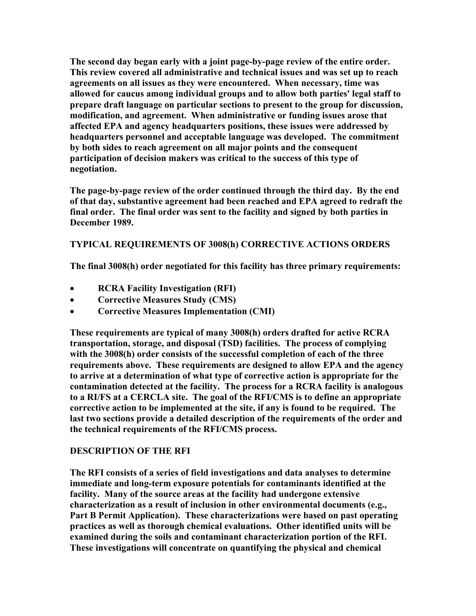**The second day began early with a joint page-by-page review of the entire order. This review covered all administrative and technical issues and was set up to reach agreements on all issues as they were encountered. When necessary, time was allowed for caucus among individual groups and to allow both parties' legal staff to prepare draft language on particular sections to present to the group for discussion, modification, and agreement. When administrative or funding issues arose that affected EPA and agency headquarters positions, these issues were addressed by headquarters personnel and acceptable language was developed. The commitment by both sides to reach agreement on all major points and the consequent participation of decision makers was critical to the success of this type of negotiation.** 

**The page-by-page review of the order continued through the third day. By the end of that day, substantive agreement had been reached and EPA agreed to redraft the final order. The final order was sent to the facility and signed by both parties in December 1989.** 

## **TYPICAL REQUIREMENTS OF 3008(h) CORRECTIVE ACTIONS ORDERS**

**The final 3008(h) order negotiated for this facility has three primary requirements:** 

- **RCRA Facility Investigation (RFI)**
- **Corrective Measures Study (CMS)**
- **Corrective Measures Implementation (CMI)**

**These requirements are typical of many 3008(h) orders drafted for active RCRA transportation, storage, and disposal (TSD) facilities. The process of complying with the 3008(h) order consists of the successful completion of each of the three requirements above. These requirements are designed to allow EPA and the agency to arrive at a determination of what type of corrective action is appropriate for the contamination detected at the facility. The process for a RCRA facility is analogous to a RI/FS at a CERCLA site. The goal of the RFI/CMS is to define an appropriate corrective action to be implemented at the site, if any is found to be required. The last two sections provide a detailed description of the requirements of the order and the technical requirements of the RFI/CMS process.** 

### **DESCRIPTION OF THE RFI**

**The RFI consists of a series of field investigations and data analyses to determine immediate and long-term exposure potentials for contaminants identified at the facility. Many of the source areas at the facility had undergone extensive characterization as a result of inclusion in other environmental documents (e.g., Part B Permit Application). These characterizations were based on past operating practices as well as thorough chemical evaluations. Other identified units will be examined during the soils and contaminant characterization portion of the RFI. These investigations will concentrate on quantifying the physical and chemical**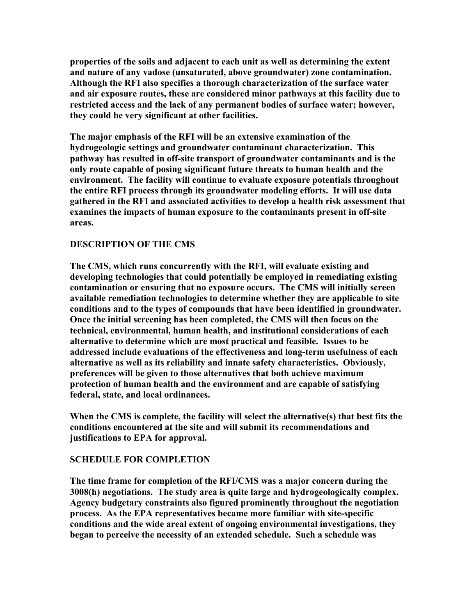**properties of the soils and adjacent to each unit as well as determining the extent and nature of any vadose (unsaturated, above groundwater) zone contamination. Although the RFI also specifies a thorough characterization of the surface water and air exposure routes, these are considered minor pathways at this facility due to restricted access and the lack of any permanent bodies of surface water; however, they could be very significant at other facilities.** 

**The major emphasis of the RFI will be an extensive examination of the hydrogeologic settings and groundwater contaminant characterization. This pathway has resulted in off-site transport of groundwater contaminants and is the only route capable of posing significant future threats to human health and the environment. The facility will continue to evaluate exposure potentials throughout the entire RFI process through its groundwater modeling efforts. It will use data gathered in the RFI and associated activities to develop a health risk assessment that examines the impacts of human exposure to the contaminants present in off-site areas.** 

## **DESCRIPTION OF THE CMS**

**The CMS, which runs concurrently with the RFI, will evaluate existing and developing technologies that could potentially be employed in remediating existing contamination or ensuring that no exposure occurs. The CMS will initially screen available remediation technologies to determine whether they are applicable to site conditions and to the types of compounds that have been identified in groundwater. Once the initial screening has been completed, the CMS will then focus on the technical, environmental, human health, and institutional considerations of each alternative to determine which are most practical and feasible. Issues to be addressed include evaluations of the effectiveness and long-term usefulness of each alternative as well as its reliability and innate safety characteristics. Obviously, preferences will be given to those alternatives that both achieve maximum protection of human health and the environment and are capable of satisfying federal, state, and local ordinances.** 

**When the CMS is complete, the facility will select the alternative(s) that best fits the conditions encountered at the site and will submit its recommendations and justifications to EPA for approval.** 

### **SCHEDULE FOR COMPLETION**

**The time frame for completion of the RFI/CMS was a major concern during the 3008(h) negotiations. The study area is quite large and hydrogeologically complex. Agency budgetary constraints also figured prominently throughout the negotiation process. As the EPA representatives became more familiar with site-specific conditions and the wide areal extent of ongoing environmental investigations, they began to perceive the necessity of an extended schedule. Such a schedule was**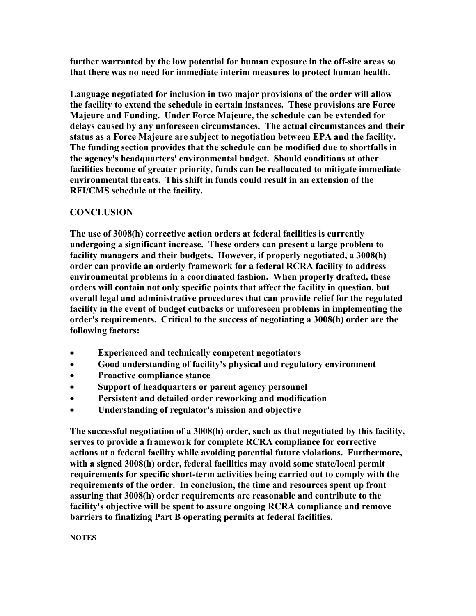**further warranted by the low potential for human exposure in the off-site areas so that there was no need for immediate interim measures to protect human health.** 

**Language negotiated for inclusion in two major provisions of the order will allow the facility to extend the schedule in certain instances. These provisions are Force Majeure and Funding. Under Force Majeure, the schedule can be extended for delays caused by any unforeseen circumstances. The actual circumstances and their status as a Force Majeure are subject to negotiation between EPA and the facility. The funding section provides that the schedule can be modified due to shortfalls in the agency's headquarters' environmental budget. Should conditions at other facilities become of greater priority, funds can be reallocated to mitigate immediate environmental threats. This shift in funds could result in an extension of the RFI/CMS schedule at the facility.** 

## **CONCLUSION**

**The use of 3008(h) corrective action orders at federal facilities is currently undergoing a significant increase. These orders can present a large problem to facility managers and their budgets. However, if properly negotiated, a 3008(h) order can provide an orderly framework for a federal RCRA facility to address environmental problems in a coordinated fashion. When properly drafted, these orders will contain not only specific points that affect the facility in question, but overall legal and administrative procedures that can provide relief for the regulated facility in the event of budget cutbacks or unforeseen problems in implementing the order's requirements. Critical to the success of negotiating a 3008(h) order are the following factors:** 

- **Experienced and technically competent negotiators**
- **Good understanding of facility's physical and regulatory environment**
- **Proactive compliance stance**
- **Support of headquarters or parent agency personnel**
- **Persistent and detailed order reworking and modification**
- **Understanding of regulator's mission and objective**

**The successful negotiation of a 3008(h) order, such as that negotiated by this facility, serves to provide a framework for complete RCRA compliance for corrective actions at a federal facility while avoiding potential future violations. Furthermore, with a signed 3008(h) order, federal facilities may avoid some state/local permit requirements for specific short-term activities being carried out to comply with the requirements of the order. In conclusion, the time and resources spent up front assuring that 3008(h) order requirements are reasonable and contribute to the facility's objective will be spent to assure ongoing RCRA compliance and remove barriers to finalizing Part B operating permits at federal facilities.**